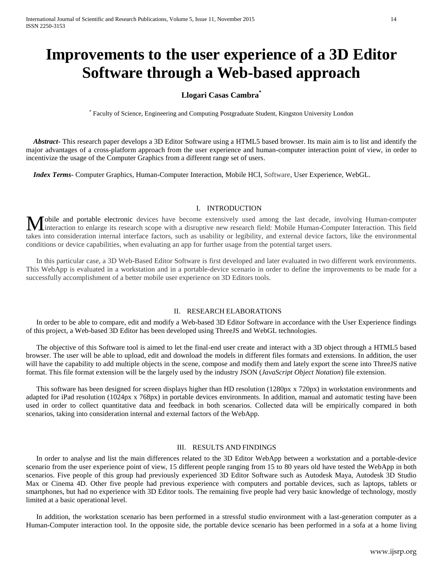# **Improvements to the user experience of a 3D Editor Software through a Web-based approach**

# **Llogari Casas Cambra\***

\* Faculty of Science, Engineering and Computing Postgraduate Student, Kingston University London

 *Abstract***-** This research paper develops a 3D Editor Software using a HTML5 based browser. Its main aim is to list and identify the major advantages of a cross-platform approach from the user experience and human-computer interaction point of view, in order to incentivize the usage of the Computer Graphics from a different range set of users.

 *Index Terms*- Computer Graphics, Human-Computer Interaction, Mobile HCI, Software, User Experience, WebGL.

## I. INTRODUCTION

Mobile and portable electronic devices have become extensively used among the last decade, involving Human-computer interaction to enlarge its research scope with a disruptive new research field: Mobile Human-Computer Inte interaction to enlarge its research scope with a disruptive new research field: Mobile Human-Computer Interaction. This field takes into consideration internal interface factors, such as usability or legibility, and external device factors, like the environmental conditions or device capabilities, when evaluating an app for further usage from the potential target users.

In this particular case, a 3D Web-Based Editor Software is first developed and later evaluated in two different work environments. This WebApp is evaluated in a workstation and in a portable-device scenario in order to define the improvements to be made for a successfully accomplishment of a better mobile user experience on 3D Editors tools.

## II. RESEARCH ELABORATIONS

In order to be able to compare, edit and modify a Web-based 3D Editor Software in accordance with the User Experience findings of this project, a Web-based 3D Editor has been developed using ThreeJS and WebGL technologies.

The objective of this Software tool is aimed to let the final-end user create and interact with a 3D object through a HTML5 based browser. The user will be able to upload, edit and download the models in different files formats and extensions. In addition, the user will have the capability to add multiple objects in the scene, compose and modify them and lately export the scene into ThreeJS native format. This file format extension will be the largely used by the industry JSON (*JavaScript Object Notation*) file extension.

This software has been designed for screen displays higher than HD resolution (1280px x 720px) in workstation environments and adapted for iPad resolution (1024px x 768px) in portable devices environments. In addition, manual and automatic testing have been used in order to collect quantitative data and feedback in both scenarios. Collected data will be empirically compared in both scenarios, taking into consideration internal and external factors of the WebApp.

## III. RESULTS AND FINDINGS

In order to analyse and list the main differences related to the 3D Editor WebApp between a workstation and a portable-device scenario from the user experience point of view, 15 different people ranging from 15 to 80 years old have tested the WebApp in both scenarios. Five people of this group had previously experienced 3D Editor Software such as Autodesk Maya, Autodesk 3D Studio Max or Cinema 4D. Other five people had previous experience with computers and portable devices, such as laptops, tablets or smartphones, but had no experience with 3D Editor tools. The remaining five people had very basic knowledge of technology, mostly limited at a basic operational level.

In addition, the workstation scenario has been performed in a stressful studio environment with a last-generation computer as a Human-Computer interaction tool. In the opposite side, the portable device scenario has been performed in a sofa at a home living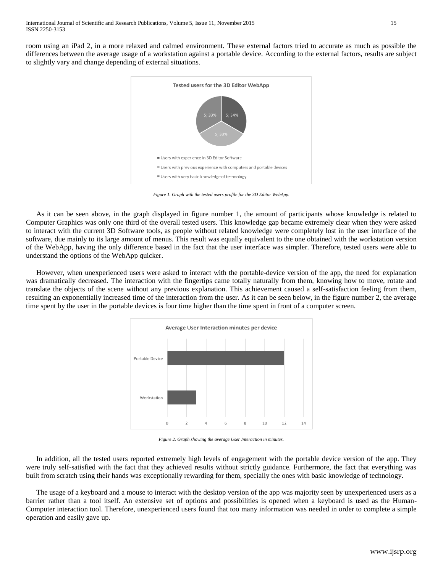room using an iPad 2, in a more relaxed and calmed environment. These external factors tried to accurate as much as possible the differences between the average usage of a workstation against a portable device. According to the external factors, results are subject to slightly vary and change depending of external situations.



*Figure 1. Graph with the tested users profile for the 3D Editor WebApp.*

As it can be seen above, in the graph displayed in figure number 1, the amount of participants whose knowledge is related to Computer Graphics was only one third of the overall tested users. This knowledge gap became extremely clear when they were asked to interact with the current 3D Software tools, as people without related knowledge were completely lost in the user interface of the software, due mainly to its large amount of menus. This result was equally equivalent to the one obtained with the workstation version of the WebApp, having the only difference based in the fact that the user interface was simpler. Therefore, tested users were able to understand the options of the WebApp quicker.

However, when unexperienced users were asked to interact with the portable-device version of the app, the need for explanation was dramatically decreased. The interaction with the fingertips came totally naturally from them, knowing how to move, rotate and translate the objects of the scene without any previous explanation. This achievement caused a self-satisfaction feeling from them, resulting an exponentially increased time of the interaction from the user. As it can be seen below, in the figure number 2, the average time spent by the user in the portable devices is four time higher than the time spent in front of a computer screen.



*Figure 2. Graph showing the average User Interaction in minutes.*

In addition, all the tested users reported extremely high levels of engagement with the portable device version of the app. They were truly self-satisfied with the fact that they achieved results without strictly guidance. Furthermore, the fact that everything was built from scratch using their hands was exceptionally rewarding for them, specially the ones with basic knowledge of technology.

The usage of a keyboard and a mouse to interact with the desktop version of the app was majority seen by unexperienced users as a barrier rather than a tool itself. An extensive set of options and possibilities is opened when a keyboard is used as the Human-Computer interaction tool. Therefore, unexperienced users found that too many information was needed in order to complete a simple operation and easily gave up.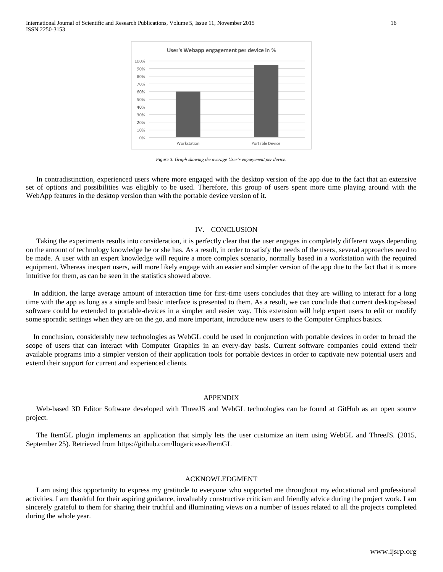

*Figure 3. Graph showing the average User's engagement per device.*

In contradistinction, experienced users where more engaged with the desktop version of the app due to the fact that an extensive set of options and possibilities was eligibly to be used. Therefore, this group of users spent more time playing around with the WebApp features in the desktop version than with the portable device version of it.

#### IV. CONCLUSION

Taking the experiments results into consideration, it is perfectly clear that the user engages in completely different ways depending on the amount of technology knowledge he or she has. As a result, in order to satisfy the needs of the users, several approaches need to be made. A user with an expert knowledge will require a more complex scenario, normally based in a workstation with the required equipment. Whereas inexpert users, will more likely engage with an easier and simpler version of the app due to the fact that it is more intuitive for them, as can be seen in the statistics showed above.

In addition, the large average amount of interaction time for first-time users concludes that they are willing to interact for a long time with the app as long as a simple and basic interface is presented to them. As a result, we can conclude that current desktop-based software could be extended to portable-devices in a simpler and easier way. This extension will help expert users to edit or modify some sporadic settings when they are on the go, and more important, introduce new users to the Computer Graphics basics.

In conclusion, considerably new technologies as WebGL could be used in conjunction with portable devices in order to broad the scope of users that can interact with Computer Graphics in an every-day basis. Current software companies could extend their available programs into a simpler version of their application tools for portable devices in order to captivate new potential users and extend their support for current and experienced clients.

## APPENDIX

Web-based 3D Editor Software developed with ThreeJS and WebGL technologies can be found at GitHub as an open source project.

The ItemGL plugin implements an application that simply lets the user customize an item using WebGL and ThreeJS. (2015, September 25). Retrieved from https://github.com/llogaricasas/ItemGL

## ACKNOWLEDGMENT

I am using this opportunity to express my gratitude to everyone who supported me throughout my educational and professional activities. I am thankful for their aspiring guidance, invaluably constructive criticism and friendly advice during the project work. I am sincerely grateful to them for sharing their truthful and illuminating views on a number of issues related to all the projects completed during the whole year.